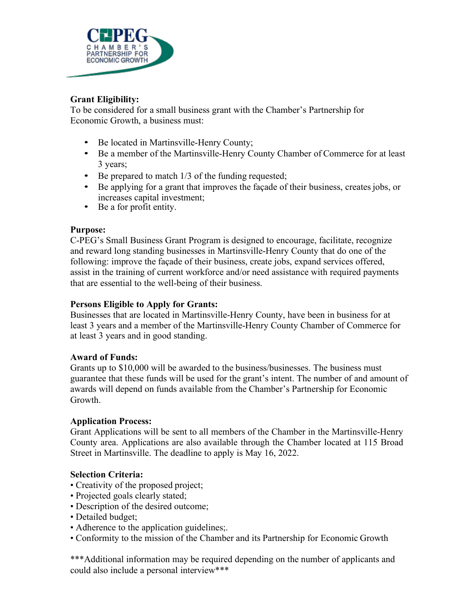

## **Grant Eligibility:**

To be considered for a small business grant with the Chamber's Partnership for Economic Growth, a business must:

- Be located in Martinsville-Henry County;
- Be a member of the Martinsville-Henry County Chamber of Commerce for at least 3 years;
- Be prepared to match 1/3 of the funding requested;
- Be applying for a grant that improves the façade of their business, creates jobs, or increases capital investment;
- Be a for profit entity.

## **Purpose:**

C-PEG's Small Business Grant Program is designed to encourage, facilitate, recognize and reward long standing businesses in Martinsville-Henry County that do one of the following: improve the façade of their business, create jobs, expand services offered, assist in the training of current workforce and/or need assistance with required payments that are essential to the well-being of their business.

### **Persons Eligible to Apply for Grants:**

Businesses that are located in Martinsville-Henry County, have been in business for at least 3 years and a member of the Martinsville-Henry County Chamber of Commerce for at least 3 years and in good standing.

#### **Award of Funds:**

Grants up to \$10,000 will be awarded to the business/businesses. The business must guarantee that these funds will be used for the grant's intent. The number of and amount of awards will depend on funds available from the Chamber's Partnership for Economic Growth.

#### **Application Process:**

Grant Applications will be sent to all members of the Chamber in the Martinsville-Henry County area. Applications are also available through the Chamber located at 115 Broad Street in Martinsville. The deadline to apply is May 16, 2022.

## **Selection Criteria:**

- Creativity of the proposed project;
- Projected goals clearly stated;
- Description of the desired outcome;
- Detailed budget;
- Adherence to the application guidelines;.
- Conformity to the mission of the Chamber and its Partnership for Economic Growth

\*\*\*Additional information may be required depending on the number of applicants and could also include a personal interview\*\*\*